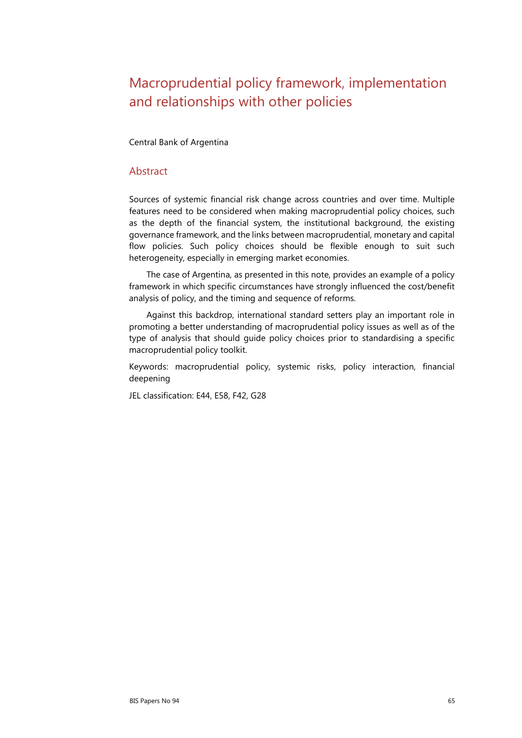# Macroprudential policy framework, implementation and relationships with other policies

Central Bank of Argentina

### Abstract

Sources of systemic financial risk change across countries and over time. Multiple features need to be considered when making macroprudential policy choices, such as the depth of the financial system, the institutional background, the existing governance framework, and the links between macroprudential, monetary and capital flow policies. Such policy choices should be flexible enough to suit such heterogeneity, especially in emerging market economies.

The case of Argentina, as presented in this note, provides an example of a policy framework in which specific circumstances have strongly influenced the cost/benefit analysis of policy, and the timing and sequence of reforms.

Against this backdrop, international standard setters play an important role in promoting a better understanding of macroprudential policy issues as well as of the type of analysis that should guide policy choices prior to standardising a specific macroprudential policy toolkit.

Keywords: macroprudential policy, systemic risks, policy interaction, financial deepening

JEL classification: E44, E58, F42, G28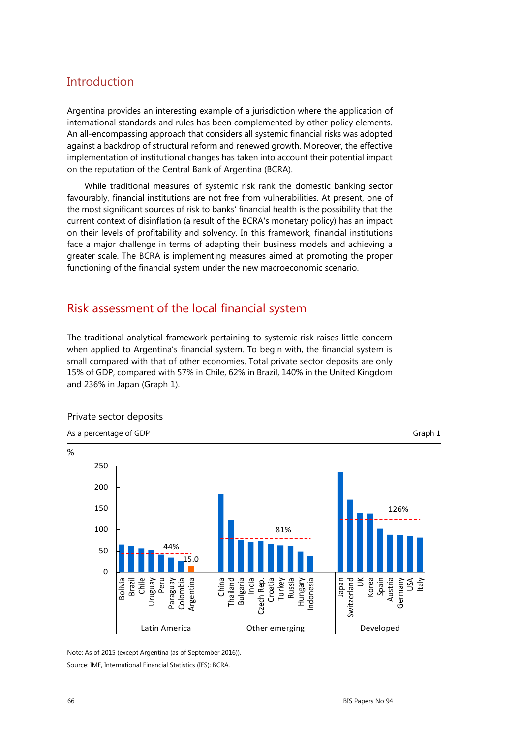# **Introduction**

Argentina provides an interesting example of a jurisdiction where the application of international standards and rules has been complemented by other policy elements. An all-encompassing approach that considers all systemic financial risks was adopted against a backdrop of structural reform and renewed growth. Moreover, the effective implementation of institutional changes has taken into account their potential impact on the reputation of the Central Bank of Argentina (BCRA).

While traditional measures of systemic risk rank the domestic banking sector favourably, financial institutions are not free from vulnerabilities. At present, one of the most significant sources of risk to banks' financial health is the possibility that the current context of disinflation (a result of the BCRA's monetary policy) has an impact on their levels of profitability and solvency. In this framework, financial institutions face a major challenge in terms of adapting their business models and achieving a greater scale. The BCRA is implementing measures aimed at promoting the proper functioning of the financial system under the new macroeconomic scenario.

# Risk assessment of the local financial system

The traditional analytical framework pertaining to systemic risk raises little concern when applied to Argentina's financial system. To begin with, the financial system is small compared with that of other economies. Total private sector deposits are only 15% of GDP, compared with 57% in Chile, 62% in Brazil, 140% in the United Kingdom and 236% in Japan (Graph 1).



Note: As of 2015 (except Argentina (as of September 2016)). Source: IMF, International Financial Statistics (IFS); BCRA.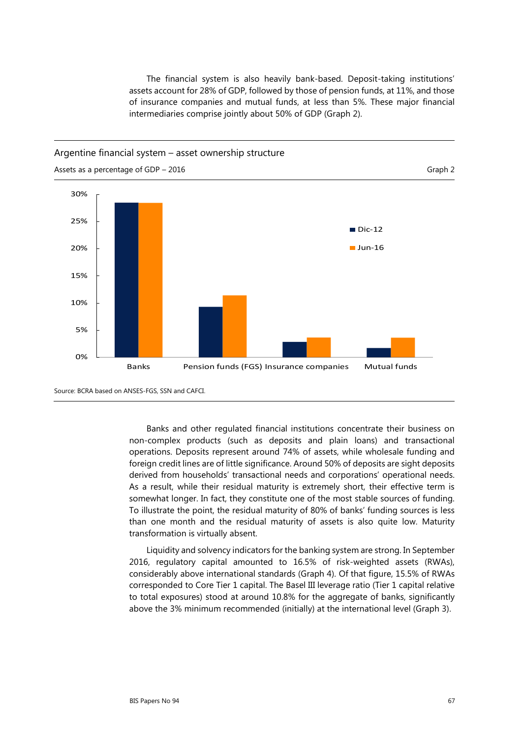The financial system is also heavily bank-based. Deposit-taking institutions' assets account for 28% of GDP, followed by those of pension funds, at 11%, and those of insurance companies and mutual funds, at less than 5%. These major financial intermediaries comprise jointly about 50% of GDP (Graph 2).

#### Argentine financial system – asset ownership structure



Source: BCRA based on ANSES-FGS, SSN and CAFCI.

Banks and other regulated financial institutions concentrate their business on non-complex products (such as deposits and plain loans) and transactional operations. Deposits represent around 74% of assets, while wholesale funding and foreign credit lines are of little significance. Around 50% of deposits are sight deposits derived from households' transactional needs and corporations' operational needs. As a result, while their residual maturity is extremely short, their effective term is somewhat longer. In fact, they constitute one of the most stable sources of funding. To illustrate the point, the residual maturity of 80% of banks' funding sources is less than one month and the residual maturity of assets is also quite low. Maturity transformation is virtually absent.

Liquidity and solvency indicators for the banking system are strong. In September 2016, regulatory capital amounted to 16.5% of risk-weighted assets (RWAs), considerably above international standards (Graph 4). Of that figure, 15.5% of RWAs corresponded to Core Tier 1 capital. The Basel III leverage ratio (Tier 1 capital relative to total exposures) stood at around 10.8% for the aggregate of banks, significantly above the 3% minimum recommended (initially) at the international level (Graph 3).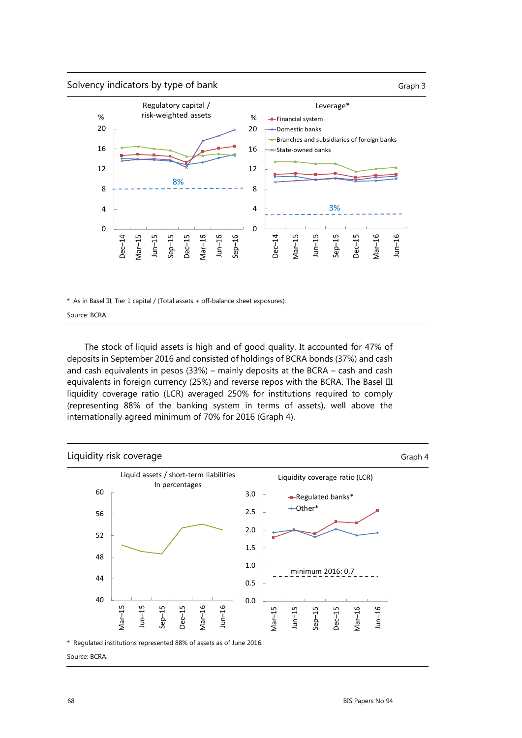



\* As in Basel III, Tier 1 capital / (Total assets + off-balance sheet exposures).

Source: BCRA.

The stock of liquid assets is high and of good quality. It accounted for 47% of deposits in September 2016 and consisted of holdings of BCRA bonds (37%) and cash and cash equivalents in pesos (33%) – mainly deposits at the BCRA – cash and cash equivalents in foreign currency (25%) and reverse repos with the BCRA. The Basel III liquidity coverage ratio (LCR) averaged 250% for institutions required to comply (representing 88% of the banking system in terms of assets), well above the internationally agreed minimum of 70% for 2016 (Graph 4).

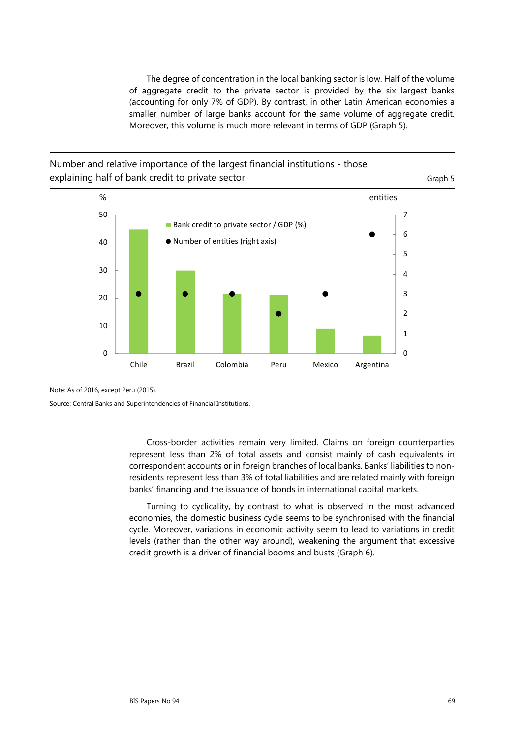The degree of concentration in the local banking sector is low. Half of the volume of aggregate credit to the private sector is provided by the six largest banks (accounting for only 7% of GDP). By contrast, in other Latin American economies a smaller number of large banks account for the same volume of aggregate credit. Moreover, this volume is much more relevant in terms of GDP (Graph 5).

## Number and relative importance of the largest financial institutions - those explaining half of bank credit to private sector explaining half of bank credit to private sector



Note: As of 2016, except Peru (2015).

Source: Central Banks and Superintendencies of Financial Institutions.

Cross-border activities remain very limited. Claims on foreign counterparties represent less than 2% of total assets and consist mainly of cash equivalents in correspondent accounts or in foreign branches of local banks. Banks' liabilities to nonresidents represent less than 3% of total liabilities and are related mainly with foreign banks' financing and the issuance of bonds in international capital markets.

Turning to cyclicality, by contrast to what is observed in the most advanced economies, the domestic business cycle seems to be synchronised with the financial cycle. Moreover, variations in economic activity seem to lead to variations in credit levels (rather than the other way around), weakening the argument that excessive credit growth is a driver of financial booms and busts (Graph 6).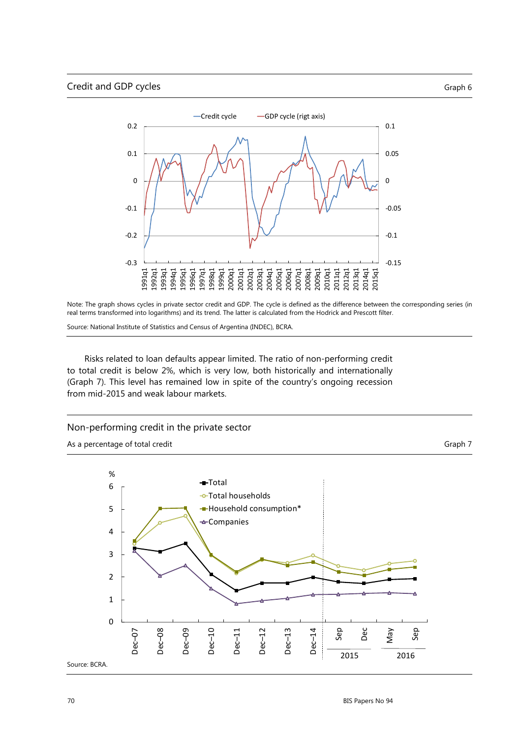

Note: The graph shows cycles in private sector credit and GDP. The cycle is defined as the difference between the corresponding series (in real terms transformed into logarithms) and its trend. The latter is calculated from the Hodrick and Prescott filter.

Source: National Institute of Statistics and Census of Argentina (INDEC), BCRA.

Risks related to loan defaults appear limited. The ratio of non-performing credit to total credit is below 2%, which is very low, both historically and internationally (Graph 7). This level has remained low in spite of the country's ongoing recession from mid-2015 and weak labour markets.

#### Non-performing credit in the private sector

As a percentage of total credit Graph 7 and  $G$ raph 7 and  $G$ raph 7 and  $G$ raph 7 and  $G$ raph 7 and  $G$ raph 7 and  $G$ raph 7 and  $G$ raph 7 and  $G$ raph 7 and  $G$ raph 7 and  $G$ raph 7 and  $G$ raph 7 and  $G$ raph 7 and  $G$ raph 7

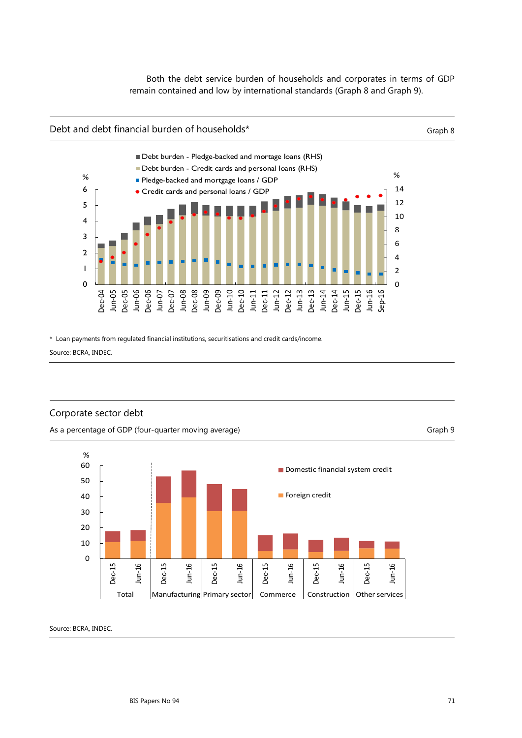Both the debt service burden of households and corporates in terms of GDP remain contained and low by international standards (Graph 8 and Graph 9).

#### Debt and debt financial burden of households\* Graph 8



\* Loan payments from regulated financial institutions, securitisations and credit cards/income.

Source: BCRA, INDEC.

### Corporate sector debt



As a percentage of GDP (four-quarter moving average) Graph 9 (Graph 9) As a percentage of GDP (four-quarter moving average)

Source: BCRA, INDEC.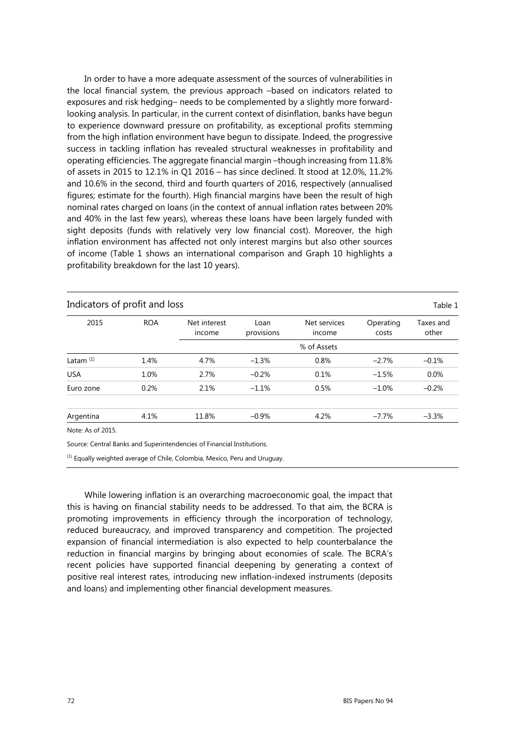In order to have a more adequate assessment of the sources of vulnerabilities in the local financial system, the previous approach –based on indicators related to exposures and risk hedging– needs to be complemented by a slightly more forwardlooking analysis. In particular, in the current context of disinflation, banks have begun to experience downward pressure on profitability, as exceptional profits stemming from the high inflation environment have begun to dissipate. Indeed, the progressive success in tackling inflation has revealed structural weaknesses in profitability and operating efficiencies. The aggregate financial margin –though increasing from 11.8% of assets in 2015 to 12.1% in Q1 2016 – has since declined. It stood at 12.0%, 11.2% and 10.6% in the second, third and fourth quarters of 2016, respectively (annualised figures; estimate for the fourth). High financial margins have been the result of high nominal rates charged on loans (in the context of annual inflation rates between 20% and 40% in the last few years), whereas these loans have been largely funded with sight deposits (funds with relatively very low financial cost). Moreover, the high inflation environment has affected not only interest margins but also other sources of income (Table 1 shows an international comparison and Graph 10 highlights a profitability breakdown for the last 10 years).

| Indicators of profit and loss<br>Table 1 |            |                        |                    |                        |                    |                    |
|------------------------------------------|------------|------------------------|--------------------|------------------------|--------------------|--------------------|
| 2015                                     | <b>ROA</b> | Net interest<br>income | Loan<br>provisions | Net services<br>income | Operating<br>costs | Taxes and<br>other |
|                                          |            |                        |                    | % of Assets            |                    |                    |
| Latam $(1)$                              | 1.4%       | 4.7%                   | $-1.3%$            | 0.8%                   | $-2.7%$            | $-0.1%$            |
| <b>USA</b>                               | 1.0%       | 2.7%                   | $-0.2%$            | 0.1%                   | $-1.5%$            | 0.0%               |
| Euro zone                                | 0.2%       | 2.1%                   | $-1.1%$            | 0.5%                   | $-1.0%$            | $-0.2%$            |
| Argentina                                | 4.1%       | 11.8%                  | $-0.9%$            | 4.2%                   | $-7.7\%$           | $-3.3%$            |
| Note: As of 2015.                        |            |                        |                    |                        |                    |                    |

Source: Central Banks and Superintendencies of Financial Institutions.

(1) Equally weighted average of Chile, Colombia, Mexico, Peru and Uruguay.

While lowering inflation is an overarching macroeconomic goal, the impact that this is having on financial stability needs to be addressed. To that aim, the BCRA is promoting improvements in efficiency through the incorporation of technology, reduced bureaucracy, and improved transparency and competition. The projected expansion of financial intermediation is also expected to help counterbalance the reduction in financial margins by bringing about economies of scale. The BCRA's recent policies have supported financial deepening by generating a context of positive real interest rates, introducing new inflation-indexed instruments (deposits and loans) and implementing other financial development measures.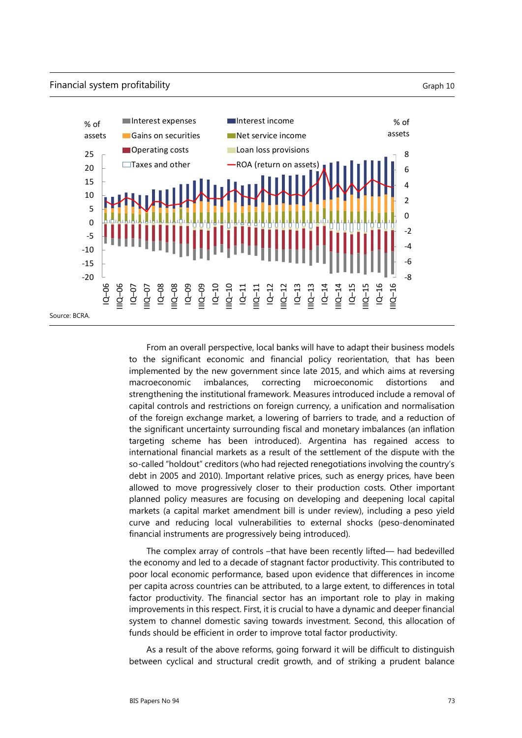

From an overall perspective, local banks will have to adapt their business models to the significant economic and financial policy reorientation, that has been implemented by the new government since late 2015, and which aims at reversing macroeconomic imbalances, correcting microeconomic distortions and strengthening the institutional framework. Measures introduced include a removal of capital controls and restrictions on foreign currency, a unification and normalisation of the foreign exchange market, a lowering of barriers to trade, and a reduction of the significant uncertainty surrounding fiscal and monetary imbalances (an inflation targeting scheme has been introduced). Argentina has regained access to international financial markets as a result of the settlement of the dispute with the so-called "holdout" creditors (who had rejected renegotiations involving the country's debt in 2005 and 2010). Important relative prices, such as energy prices, have been allowed to move progressively closer to their production costs. Other important planned policy measures are focusing on developing and deepening local capital markets (a capital market amendment bill is under review), including a peso yield curve and reducing local vulnerabilities to external shocks (peso-denominated financial instruments are progressively being introduced).

The complex array of controls -that have been recently lifted— had bedevilled the economy and led to a decade of stagnant factor productivity. This contributed to poor local economic performance, based upon evidence that differences in income per capita across countries can be attributed, to a large extent, to differences in total factor productivity. The financial sector has an important role to play in making improvements in this respect. First, it is crucial to have a dynamic and deeper financial system to channel domestic saving towards investment. Second, this allocation of funds should be efficient in order to improve total factor productivity.

As a result of the above reforms, going forward it will be difficult to distinguish between cyclical and structural credit growth, and of striking a prudent balance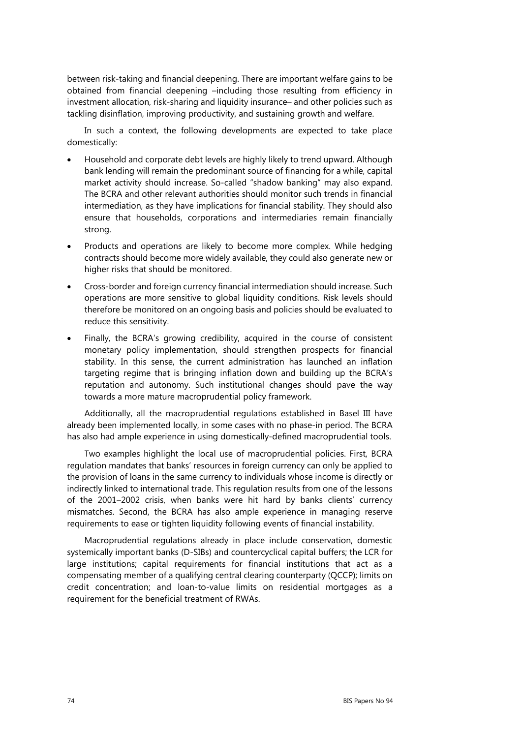between risk-taking and financial deepening. There are important welfare gains to be obtained from financial deepening –including those resulting from efficiency in investment allocation, risk-sharing and liquidity insurance– and other policies such as tackling disinflation, improving productivity, and sustaining growth and welfare.

In such a context, the following developments are expected to take place domestically:

- Household and corporate debt levels are highly likely to trend upward. Although bank lending will remain the predominant source of financing for a while, capital market activity should increase. So-called "shadow banking" may also expand. The BCRA and other relevant authorities should monitor such trends in financial intermediation, as they have implications for financial stability. They should also ensure that households, corporations and intermediaries remain financially strong.
- Products and operations are likely to become more complex. While hedging contracts should become more widely available, they could also generate new or higher risks that should be monitored.
- Cross-border and foreign currency financial intermediation should increase. Such operations are more sensitive to global liquidity conditions. Risk levels should therefore be monitored on an ongoing basis and policies should be evaluated to reduce this sensitivity.
- Finally, the BCRA's growing credibility, acquired in the course of consistent monetary policy implementation, should strengthen prospects for financial stability. In this sense, the current administration has launched an inflation targeting regime that is bringing inflation down and building up the BCRA's reputation and autonomy. Such institutional changes should pave the way towards a more mature macroprudential policy framework.

Additionally, all the macroprudential regulations established in Basel III have already been implemented locally, in some cases with no phase-in period. The BCRA has also had ample experience in using domestically-defined macroprudential tools.

Two examples highlight the local use of macroprudential policies. First, BCRA regulation mandates that banks' resources in foreign currency can only be applied to the provision of loans in the same currency to individuals whose income is directly or indirectly linked to international trade. This regulation results from one of the lessons of the 2001–2002 crisis, when banks were hit hard by banks clients' currency mismatches. Second, the BCRA has also ample experience in managing reserve requirements to ease or tighten liquidity following events of financial instability.

Macroprudential regulations already in place include conservation, domestic systemically important banks (D-SIBs) and countercyclical capital buffers; the LCR for large institutions; capital requirements for financial institutions that act as a compensating member of a qualifying central clearing counterparty (QCCP); limits on credit concentration; and loan-to-value limits on residential mortgages as a requirement for the beneficial treatment of RWAs.